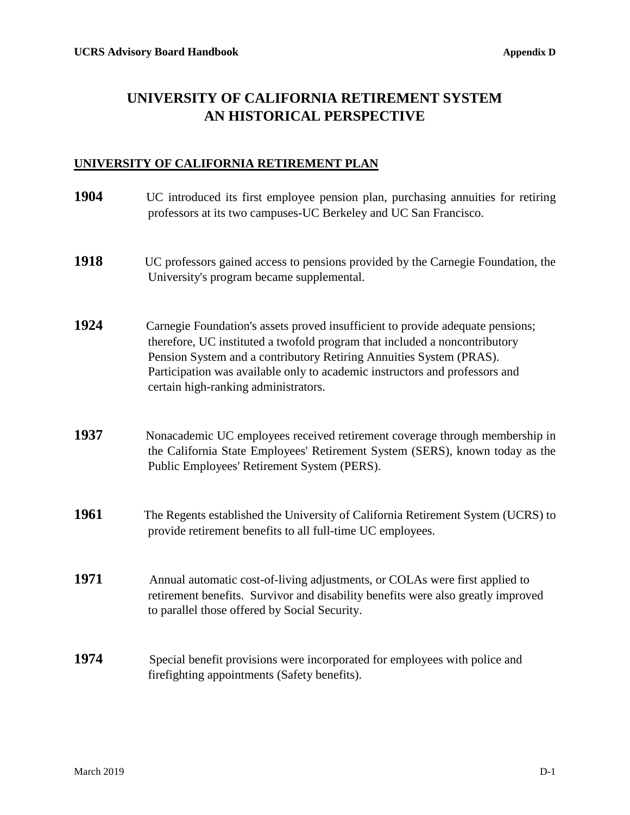# **UNIVERSITY OF CALIFORNIA RETIREMENT SYSTEM AN HISTORICAL PERSPECTIVE**

## **UNIVERSITY OF CALIFORNIA RETIREMENT PLAN**

| 1904 | UC introduced its first employee pension plan, purchasing annuities for retiring<br>professors at its two campuses-UC Berkeley and UC San Francisco.                                                                                                                                                                                                       |
|------|------------------------------------------------------------------------------------------------------------------------------------------------------------------------------------------------------------------------------------------------------------------------------------------------------------------------------------------------------------|
| 1918 | UC professors gained access to pensions provided by the Carnegie Foundation, the<br>University's program became supplemental.                                                                                                                                                                                                                              |
| 1924 | Carnegie Foundation's assets proved insufficient to provide adequate pensions;<br>therefore, UC instituted a twofold program that included a noncontributory<br>Pension System and a contributory Retiring Annuities System (PRAS).<br>Participation was available only to academic instructors and professors and<br>certain high-ranking administrators. |
| 1937 | Nonacademic UC employees received retirement coverage through membership in<br>the California State Employees' Retirement System (SERS), known today as the<br>Public Employees' Retirement System (PERS).                                                                                                                                                 |
| 1961 | The Regents established the University of California Retirement System (UCRS) to<br>provide retirement benefits to all full-time UC employees.                                                                                                                                                                                                             |
| 1971 | Annual automatic cost-of-living adjustments, or COLAs were first applied to<br>retirement benefits. Survivor and disability benefits were also greatly improved<br>to parallel those offered by Social Security.                                                                                                                                           |
| 1974 | Special benefit provisions were incorporated for employees with police and<br>firefighting appointments (Safety benefits).                                                                                                                                                                                                                                 |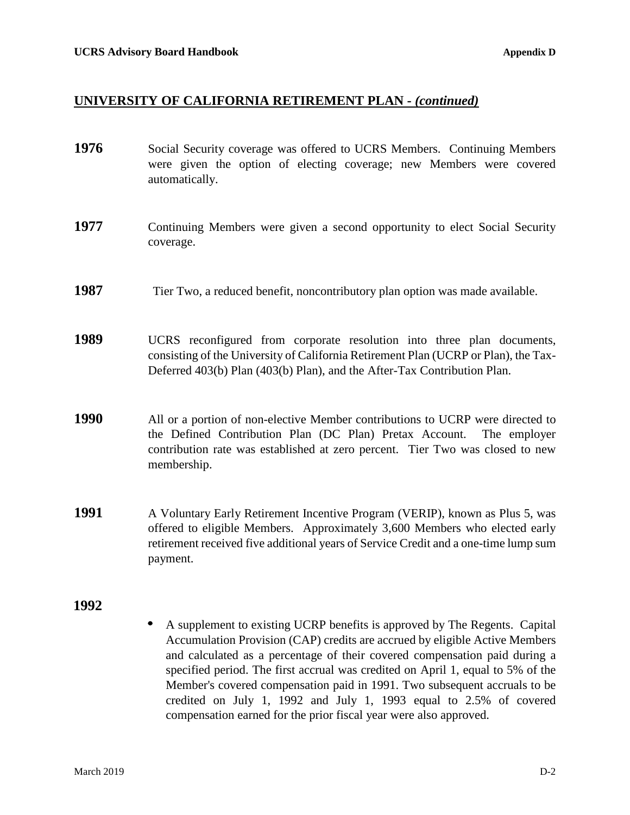| 1976 | Social Security coverage was offered to UCRS Members. Continuing Members<br>were given the option of electing coverage; new Members were covered<br>automatically.                                                                                            |
|------|---------------------------------------------------------------------------------------------------------------------------------------------------------------------------------------------------------------------------------------------------------------|
| 1977 | Continuing Members were given a second opportunity to elect Social Security<br>coverage.                                                                                                                                                                      |
| 1987 | Tier Two, a reduced benefit, noncontributory plan option was made available.                                                                                                                                                                                  |
| 1989 | UCRS reconfigured from corporate resolution into three plan documents,<br>consisting of the University of California Retirement Plan (UCRP or Plan), the Tax-<br>Deferred 403(b) Plan (403(b) Plan), and the After-Tax Contribution Plan.                     |
| 1990 | All or a portion of non-elective Member contributions to UCRP were directed to<br>the Defined Contribution Plan (DC Plan) Pretax Account.<br>The employer<br>contribution rate was established at zero percent. Tier Two was closed to new<br>membership.     |
| 1991 | A Voluntary Early Retirement Incentive Program (VERIP), known as Plus 5, was<br>offered to eligible Members. Approximately 3,600 Members who elected early<br>retirement received five additional years of Service Credit and a one-time lump sum<br>payment. |
| 1992 | A supplement to existing UCRP benefits is approved by The Regents. Capital<br>Accumulation Provision (CAP) credits are accrued by eligible Active Members<br>and calculated as a percentage of their covered compensation paid during a                       |

specified period. The first accrual was credited on April 1, equal to 5% of the Member's covered compensation paid in 1991. Two subsequent accruals to be credited on July 1, 1992 and July 1, 1993 equal to 2.5% of covered

compensation earned for the prior fiscal year were also approved.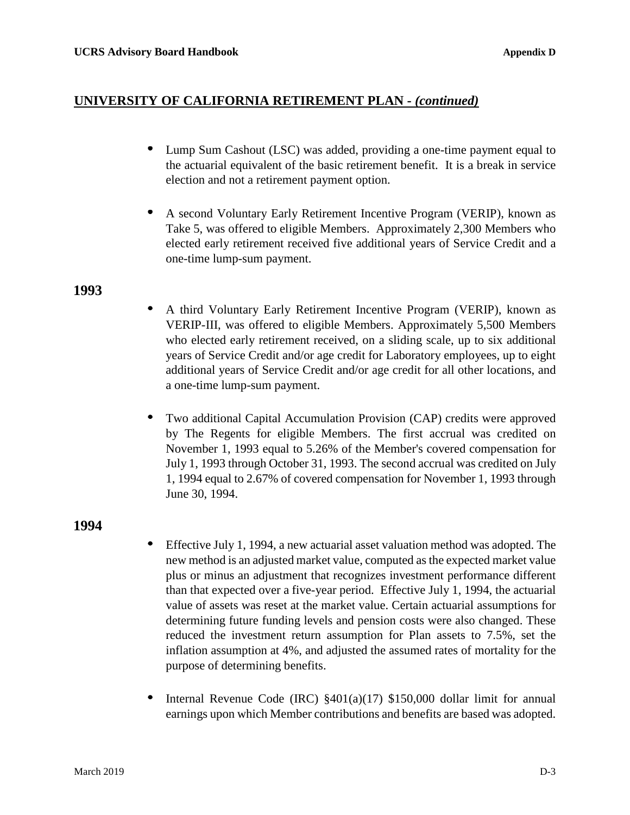- Lump Sum Cashout (LSC) was added, providing a one-time payment equal to the actuarial equivalent of the basic retirement benefit. It is a break in service election and not a retirement payment option.
- A second Voluntary Early Retirement Incentive Program (VERIP), known as Take 5, was offered to eligible Members. Approximately 2,300 Members who elected early retirement received five additional years of Service Credit and a one-time lump-sum payment.

## **1993**

- A third Voluntary Early Retirement Incentive Program (VERIP), known as VERIP-III, was offered to eligible Members. Approximately 5,500 Members who elected early retirement received, on a sliding scale, up to six additional years of Service Credit and/or age credit for Laboratory employees, up to eight additional years of Service Credit and/or age credit for all other locations, and a one-time lump-sum payment.
- Two additional Capital Accumulation Provision (CAP) credits were approved by The Regents for eligible Members. The first accrual was credited on November 1, 1993 equal to 5.26% of the Member's covered compensation for July 1, 1993 through October 31, 1993. The second accrual was credited on July 1, 1994 equal to 2.67% of covered compensation for November 1, 1993 through June 30, 1994.

- $\bullet$ Effective July 1, 1994, a new actuarial asset valuation method was adopted. The new method is an adjusted market value, computed as the expected market value plus or minus an adjustment that recognizes investment performance different than that expected over a five-year period. Effective July 1, 1994, the actuarial value of assets was reset at the market value. Certain actuarial assumptions for determining future funding levels and pension costs were also changed. These reduced the investment return assumption for Plan assets to 7.5%, set the inflation assumption at 4%, and adjusted the assumed rates of mortality for the purpose of determining benefits.
- Internal Revenue Code (IRC) §401(a)(17) \$150,000 dollar limit for annual earnings upon which Member contributions and benefits are based was adopted.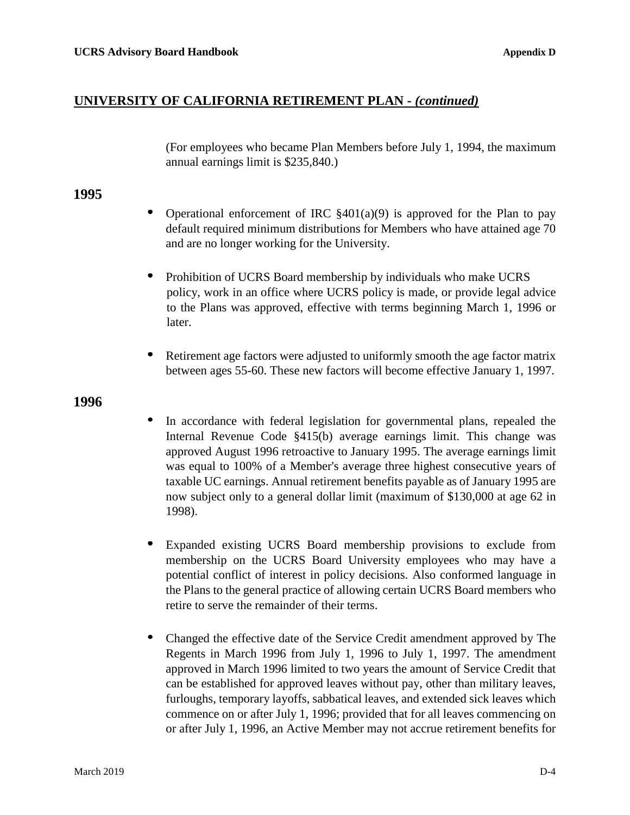(For employees who became Plan Members before July 1, 1994, the maximum annual earnings limit is \$235,840.)

### **1995**

- Operational enforcement of IRC  $\S 401(a)(9)$  is approved for the Plan to pay default required minimum distributions for Members who have attained age 70 and are no longer working for the University.
- $\bullet$ Prohibition of UCRS Board membership by individuals who make UCRS policy, work in an office where UCRS policy is made, or provide legal advice to the Plans was approved, effective with terms beginning March 1, 1996 or later.
- Retirement age factors were adjusted to uniformly smooth the age factor matrix between ages 55-60. These new factors will become effective January 1, 1997.

- In accordance with federal legislation for governmental plans, repealed the Internal Revenue Code §415(b) average earnings limit. This change was approved August 1996 retroactive to January 1995. The average earnings limit was equal to 100% of a Member's average three highest consecutive years of taxable UC earnings. Annual retirement benefits payable as of January 1995 are now subject only to a general dollar limit (maximum of \$130,000 at age 62 in 1998).
- Expanded existing UCRS Board membership provisions to exclude from membership on the UCRS Board University employees who may have a potential conflict of interest in policy decisions. Also conformed language in the Plans to the general practice of allowing certain UCRS Board members who retire to serve the remainder of their terms.
- Changed the effective date of the Service Credit amendment approved by The Regents in March 1996 from July 1, 1996 to July 1, 1997. The amendment approved in March 1996 limited to two years the amount of Service Credit that can be established for approved leaves without pay, other than military leaves, furloughs, temporary layoffs, sabbatical leaves, and extended sick leaves which commence on or after July 1, 1996; provided that for all leaves commencing on or after July 1, 1996, an Active Member may not accrue retirement benefits for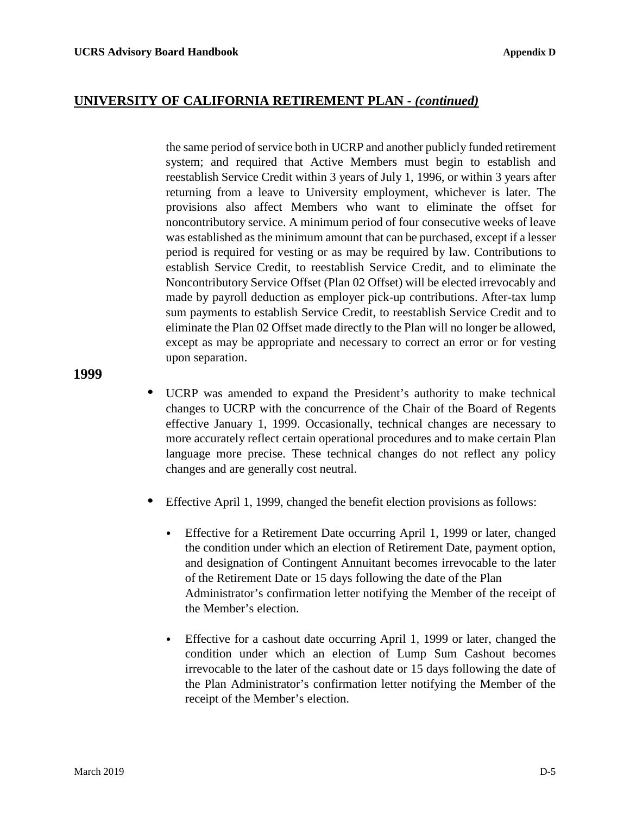the same period of service both in UCRP and another publicly funded retirement system; and required that Active Members must begin to establish and reestablish Service Credit within 3 years of July 1, 1996, or within 3 years after returning from a leave to University employment, whichever is later. The provisions also affect Members who want to eliminate the offset for noncontributory service. A minimum period of four consecutive weeks of leave was established as the minimum amount that can be purchased, except if a lesser period is required for vesting or as may be required by law. Contributions to establish Service Credit, to reestablish Service Credit, and to eliminate the Noncontributory Service Offset (Plan 02 Offset) will be elected irrevocably and made by payroll deduction as employer pick-up contributions. After-tax lump sum payments to establish Service Credit, to reestablish Service Credit and to eliminate the Plan 02 Offset made directly to the Plan will no longer be allowed, except as may be appropriate and necessary to correct an error or for vesting upon separation.

- UCRP was amended to expand the President's authority to make technical changes to UCRP with the concurrence of the Chair of the Board of Regents effective January 1, 1999. Occasionally, technical changes are necessary to more accurately reflect certain operational procedures and to make certain Plan language more precise. These technical changes do not reflect any policy changes and are generally cost neutral.
- Effective April 1, 1999, changed the benefit election provisions as follows:
	- Effective for a Retirement Date occurring April 1, 1999 or later, changed the condition under which an election of Retirement Date, payment option, and designation of Contingent Annuitant becomes irrevocable to the later of the Retirement Date or 15 days following the date of the Plan Administrator's confirmation letter notifying the Member of the receipt of the Member's election.
	- Effective for a cashout date occurring April 1, 1999 or later, changed the  $\bullet$ condition under which an election of Lump Sum Cashout becomes irrevocable to the later of the cashout date or 15 days following the date of the Plan Administrator's confirmation letter notifying the Member of the receipt of the Member's election.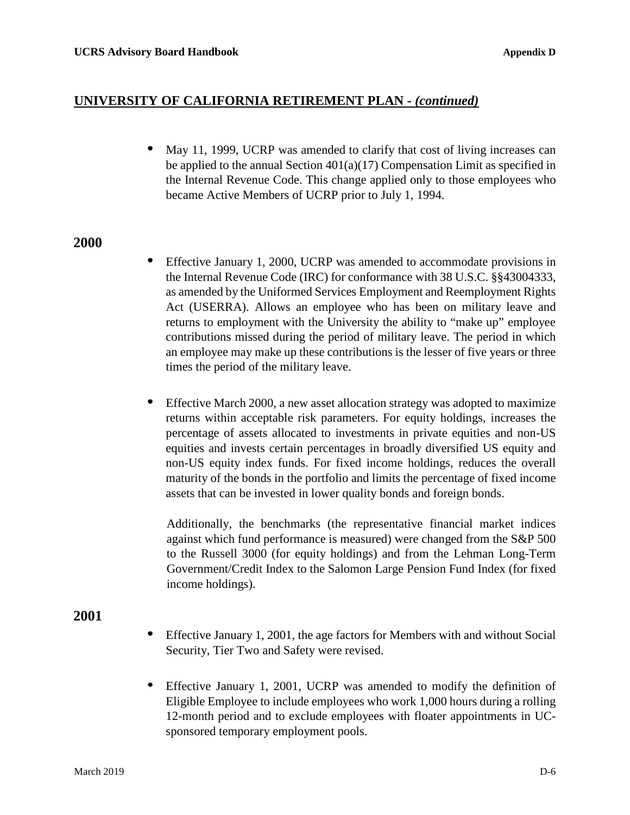May 11, 1999, UCRP was amended to clarify that cost of living increases can be applied to the annual Section  $401(a)(17)$  Compensation Limit as specified in the Internal Revenue Code. This change applied only to those employees who became Active Members of UCRP prior to July 1, 1994.

### **2000**

- Effective January 1, 2000, UCRP was amended to accommodate provisions in the Internal Revenue Code (IRC) for conformance with 38 U.S.C. §§43004333, as amended by the Uniformed Services Employment and Reemployment Rights Act (USERRA). Allows an employee who has been on military leave and returns to employment with the University the ability to "make up" employee contributions missed during the period of military leave. The period in which an employee may make up these contributions is the lesser of five years or three times the period of the military leave.
- $\bullet$ Effective March 2000, a new asset allocation strategy was adopted to maximize returns within acceptable risk parameters. For equity holdings, increases the percentage of assets allocated to investments in private equities and non-US equities and invests certain percentages in broadly diversified US equity and non-US equity index funds. For fixed income holdings, reduces the overall maturity of the bonds in the portfolio and limits the percentage of fixed income assets that can be invested in lower quality bonds and foreign bonds.

Additionally, the benchmarks (the representative financial market indices against which fund performance is measured) were changed from the S&P 500 to the Russell 3000 (for equity holdings) and from the Lehman Long-Term Government/Credit Index to the Salomon Large Pension Fund Index (for fixed income holdings).

- Effective January 1, 2001, the age factors for Members with and without Social Security, Tier Two and Safety were revised.
- $\bullet$ Effective January 1, 2001, UCRP was amended to modify the definition of Eligible Employee to include employees who work 1,000 hours during a rolling 12-month period and to exclude employees with floater appointments in UCsponsored temporary employment pools.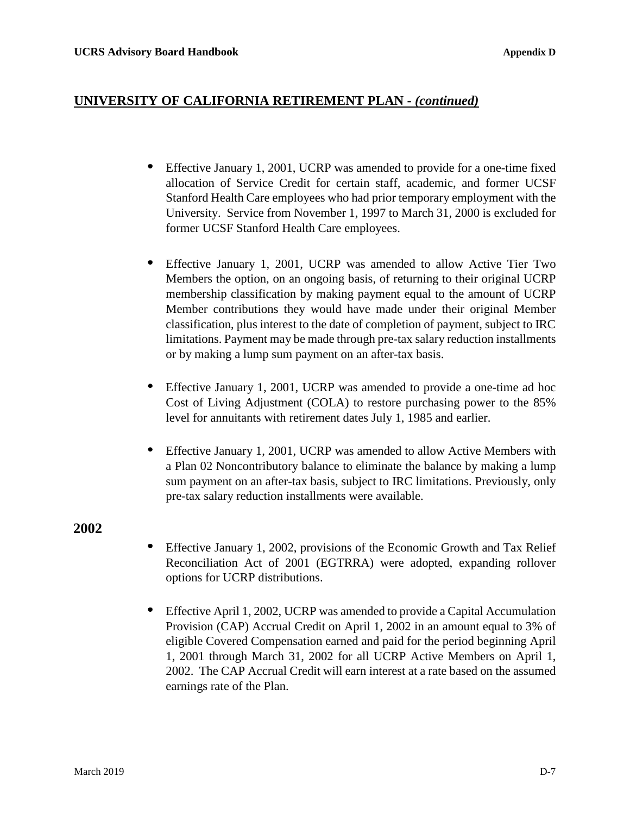- Effective January 1, 2001, UCRP was amended to provide for a one-time fixed allocation of Service Credit for certain staff, academic, and former UCSF Stanford Health Care employees who had prior temporary employment with the University. Service from November 1, 1997 to March 31, 2000 is excluded for former UCSF Stanford Health Care employees.
- Effective January 1, 2001, UCRP was amended to allow Active Tier Two Members the option, on an ongoing basis, of returning to their original UCRP membership classification by making payment equal to the amount of UCRP Member contributions they would have made under their original Member classification, plus interest to the date of completion of payment, subject to IRC limitations. Payment may be made through pre-tax salary reduction installments or by making a lump sum payment on an after-tax basis.
- $\bullet$ Effective January 1, 2001, UCRP was amended to provide a one-time ad hoc Cost of Living Adjustment (COLA) to restore purchasing power to the 85% level for annuitants with retirement dates July 1, 1985 and earlier.
- $\bullet$ Effective January 1, 2001, UCRP was amended to allow Active Members with a Plan 02 Noncontributory balance to eliminate the balance by making a lump sum payment on an after-tax basis, subject to IRC limitations. Previously, only pre-tax salary reduction installments were available.

- Effective January 1, 2002, provisions of the Economic Growth and Tax Relief Reconciliation Act of 2001 (EGTRRA) were adopted, expanding rollover options for UCRP distributions.
- Effective April 1, 2002, UCRP was amended to provide a Capital Accumulation Provision (CAP) Accrual Credit on April 1, 2002 in an amount equal to 3% of eligible Covered Compensation earned and paid for the period beginning April 1, 2001 through March 31, 2002 for all UCRP Active Members on April 1, 2002. The CAP Accrual Credit will earn interest at a rate based on the assumed earnings rate of the Plan.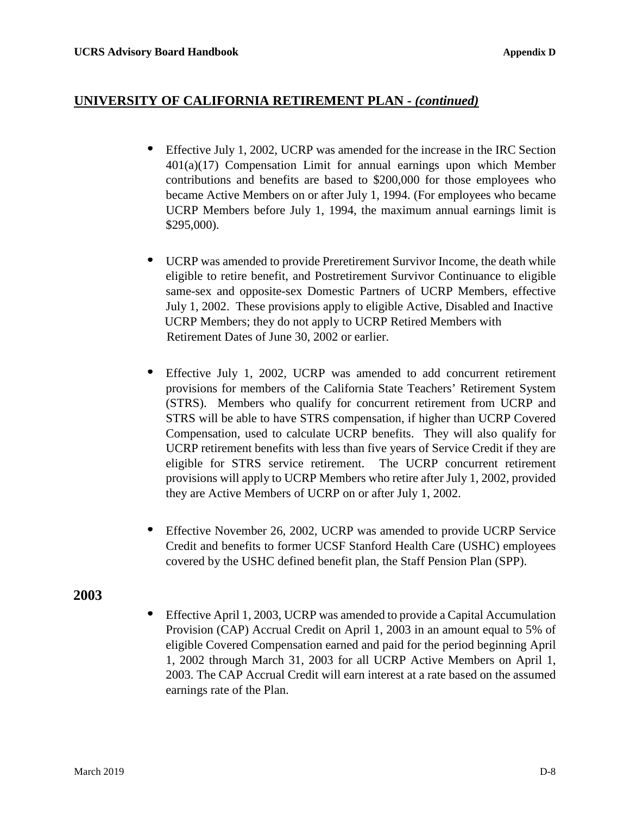- Effective July 1, 2002, UCRP was amended for the increase in the IRC Section 401(a)(17) Compensation Limit for annual earnings upon which Member contributions and benefits are based to \$200,000 for those employees who became Active Members on or after July 1, 1994. (For employees who became UCRP Members before July 1, 1994, the maximum annual earnings limit is \$295,000).
- UCRP was amended to provide Preretirement Survivor Income, the death while eligible to retire benefit, and Postretirement Survivor Continuance to eligible same-sex and opposite-sex Domestic Partners of UCRP Members, effective July 1, 2002. These provisions apply to eligible Active, Disabled and Inactive UCRP Members; they do not apply to UCRP Retired Members with Retirement Dates of June 30, 2002 or earlier.
- Effective July 1, 2002, UCRP was amended to add concurrent retirement provisions for members of the California State Teachers' Retirement System (STRS). Members who qualify for concurrent retirement from UCRP and STRS will be able to have STRS compensation, if higher than UCRP Covered Compensation, used to calculate UCRP benefits. They will also qualify for UCRP retirement benefits with less than five years of Service Credit if they are eligible for STRS service retirement. The UCRP concurrent retirement provisions will apply to UCRP Members who retire after July 1, 2002, provided they are Active Members of UCRP on or after July 1, 2002.
- Effective November 26, 2002, UCRP was amended to provide UCRP Service Credit and benefits to former UCSF Stanford Health Care (USHC) employees covered by the USHC defined benefit plan, the Staff Pension Plan (SPP).

### **2003**

Effective April 1, 2003, UCRP was amended to provide a Capital Accumulation Provision (CAP) Accrual Credit on April 1, 2003 in an amount equal to 5% of eligible Covered Compensation earned and paid for the period beginning April 1, 2002 through March 31, 2003 for all UCRP Active Members on April 1, 2003. The CAP Accrual Credit will earn interest at a rate based on the assumed earnings rate of the Plan.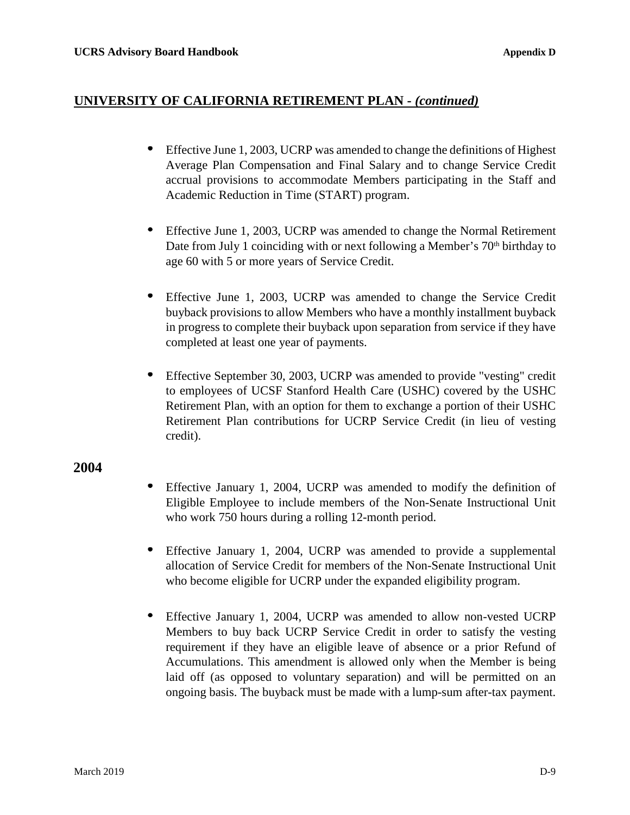- $\bullet$ Effective June 1, 2003, UCRP was amended to change the definitions of Highest Average Plan Compensation and Final Salary and to change Service Credit accrual provisions to accommodate Members participating in the Staff and Academic Reduction in Time (START) program.
- $\bullet$ Effective June 1, 2003, UCRP was amended to change the Normal Retirement Date from July 1 coinciding with or next following a Member's  $70<sup>th</sup>$  birthday to age 60 with 5 or more years of Service Credit.
- Effective June 1, 2003, UCRP was amended to change the Service Credit buyback provisions to allow Members who have a monthly installment buyback in progress to complete their buyback upon separation from service if they have completed at least one year of payments.
- $\bullet$ Effective September 30, 2003, UCRP was amended to provide "vesting" credit to employees of UCSF Stanford Health Care (USHC) covered by the USHC Retirement Plan, with an option for them to exchange a portion of their USHC Retirement Plan contributions for UCRP Service Credit (in lieu of vesting credit).

- $\bullet$ Effective January 1, 2004, UCRP was amended to modify the definition of Eligible Employee to include members of the Non-Senate Instructional Unit who work 750 hours during a rolling 12-month period.
- $\bullet$ Effective January 1, 2004, UCRP was amended to provide a supplemental allocation of Service Credit for members of the Non-Senate Instructional Unit who become eligible for UCRP under the expanded eligibility program.
- Effective January 1, 2004, UCRP was amended to allow non-vested UCRP Members to buy back UCRP Service Credit in order to satisfy the vesting requirement if they have an eligible leave of absence or a prior Refund of Accumulations. This amendment is allowed only when the Member is being laid off (as opposed to voluntary separation) and will be permitted on an ongoing basis. The buyback must be made with a lump-sum after-tax payment.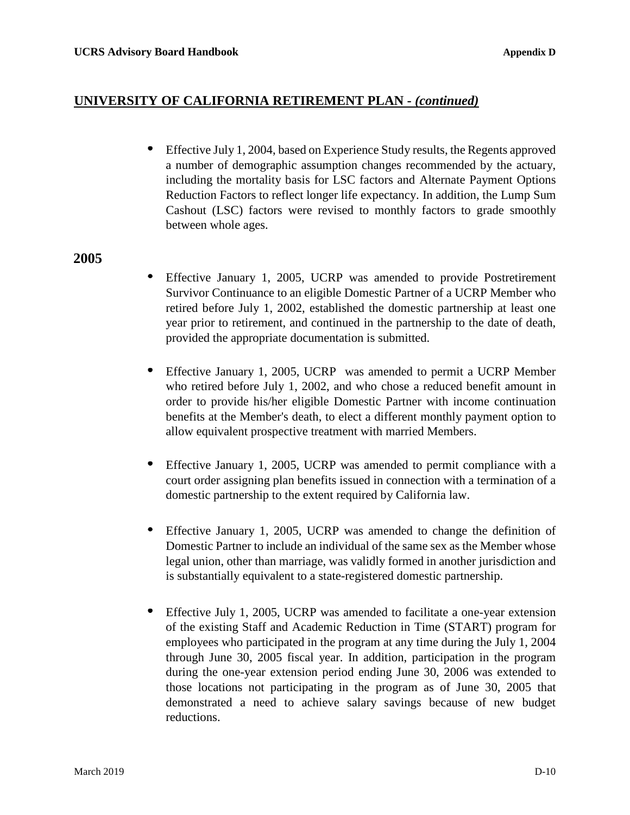$\bullet$ Effective July 1, 2004, based on Experience Study results, the Regents approved a number of demographic assumption changes recommended by the actuary, including the mortality basis for LSC factors and Alternate Payment Options Reduction Factors to reflect longer life expectancy. In addition, the Lump Sum Cashout (LSC) factors were revised to monthly factors to grade smoothly between whole ages.

- Effective January 1, 2005, UCRP was amended to provide Postretirement Survivor Continuance to an eligible Domestic Partner of a UCRP Member who retired before July 1, 2002, established the domestic partnership at least one year prior to retirement, and continued in the partnership to the date of death, provided the appropriate documentation is submitted.
- $\bullet$ Effective January 1, 2005, UCRP was amended to permit a UCRP Member who retired before July 1, 2002, and who chose a reduced benefit amount in order to provide his/her eligible Domestic Partner with income continuation benefits at the Member's death, to elect a different monthly payment option to allow equivalent prospective treatment with married Members.
- $\bullet$ Effective January 1, 2005, UCRP was amended to permit compliance with a court order assigning plan benefits issued in connection with a termination of a domestic partnership to the extent required by California law.
- $\bullet$ Effective January 1, 2005, UCRP was amended to change the definition of Domestic Partner to include an individual of the same sex as the Member whose legal union, other than marriage, was validly formed in another jurisdiction and is substantially equivalent to a state-registered domestic partnership.
- Effective July 1, 2005, UCRP was amended to facilitate a one-year extension of the existing Staff and Academic Reduction in Time (START) program for employees who participated in the program at any time during the July 1, 2004 through June 30, 2005 fiscal year. In addition, participation in the program during the one-year extension period ending June 30, 2006 was extended to those locations not participating in the program as of June 30, 2005 that demonstrated a need to achieve salary savings because of new budget reductions.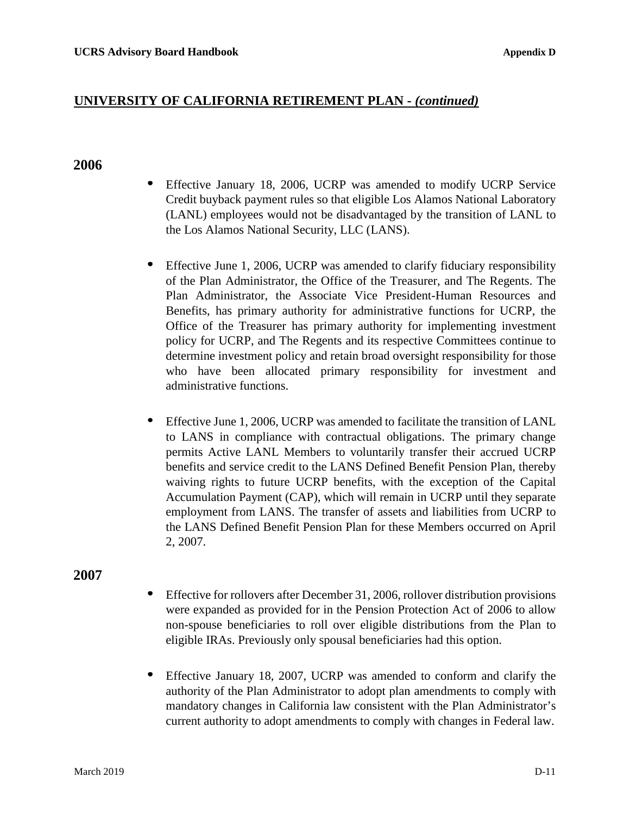### **2006**

- $\bullet$ Effective January 18, 2006, UCRP was amended to modify UCRP Service Credit buyback payment rules so that eligible Los Alamos National Laboratory (LANL) employees would not be disadvantaged by the transition of LANL to the Los Alamos National Security, LLC (LANS).
- $\bullet$ Effective June 1, 2006, UCRP was amended to clarify fiduciary responsibility of the Plan Administrator, the Office of the Treasurer, and The Regents. The Plan Administrator, the Associate Vice President-Human Resources and Benefits, has primary authority for administrative functions for UCRP, the Office of the Treasurer has primary authority for implementing investment policy for UCRP, and The Regents and its respective Committees continue to determine investment policy and retain broad oversight responsibility for those who have been allocated primary responsibility for investment and administrative functions.
- $\bullet$ Effective June 1, 2006, UCRP was amended to facilitate the transition of LANL to LANS in compliance with contractual obligations. The primary change permits Active LANL Members to voluntarily transfer their accrued UCRP benefits and service credit to the LANS Defined Benefit Pension Plan, thereby waiving rights to future UCRP benefits, with the exception of the Capital Accumulation Payment (CAP), which will remain in UCRP until they separate employment from LANS. The transfer of assets and liabilities from UCRP to the LANS Defined Benefit Pension Plan for these Members occurred on April 2, 2007.

- $\bullet$ Effective for rollovers after December 31, 2006, rollover distribution provisions were expanded as provided for in the Pension Protection Act of 2006 to allow non-spouse beneficiaries to roll over eligible distributions from the Plan to eligible IRAs. Previously only spousal beneficiaries had this option.
- Effective January 18, 2007, UCRP was amended to conform and clarify the authority of the Plan Administrator to adopt plan amendments to comply with mandatory changes in California law consistent with the Plan Administrator's current authority to adopt amendments to comply with changes in Federal law.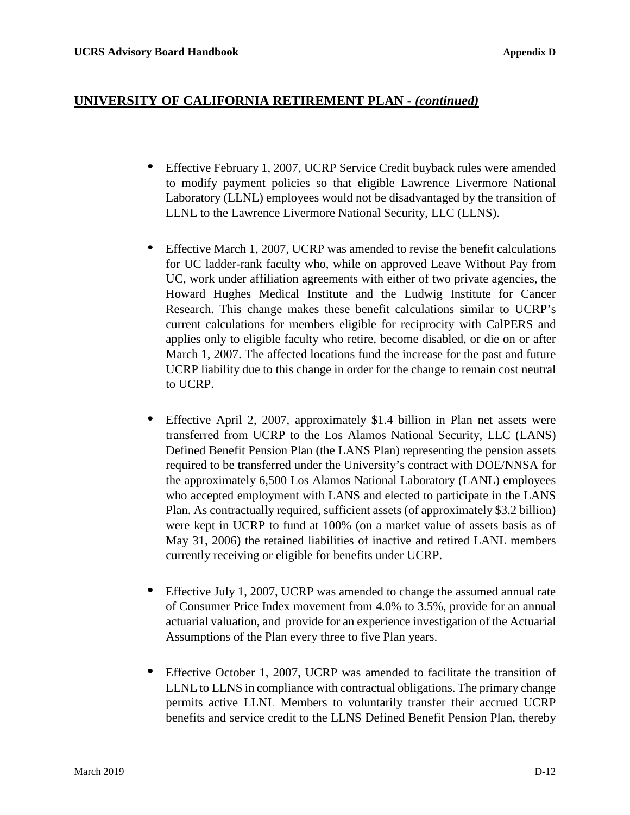- Effective February 1, 2007, UCRP Service Credit buyback rules were amended to modify payment policies so that eligible Lawrence Livermore National Laboratory (LLNL) employees would not be disadvantaged by the transition of LLNL to the Lawrence Livermore National Security, LLC (LLNS).
- $\bullet$ Effective March 1, 2007, UCRP was amended to revise the benefit calculations for UC ladder-rank faculty who, while on approved Leave Without Pay from UC, work under affiliation agreements with either of two private agencies, the Howard Hughes Medical Institute and the Ludwig Institute for Cancer Research. This change makes these benefit calculations similar to UCRP's current calculations for members eligible for reciprocity with CalPERS and applies only to eligible faculty who retire, become disabled, or die on or after March 1, 2007. The affected locations fund the increase for the past and future UCRP liability due to this change in order for the change to remain cost neutral to UCRP.
- Effective April 2, 2007, approximately \$1.4 billion in Plan net assets were transferred from UCRP to the Los Alamos National Security, LLC (LANS) Defined Benefit Pension Plan (the LANS Plan) representing the pension assets required to be transferred under the University's contract with DOE/NNSA for the approximately 6,500 Los Alamos National Laboratory (LANL) employees who accepted employment with LANS and elected to participate in the LANS Plan. As contractually required, sufficient assets (of approximately \$3.2 billion) were kept in UCRP to fund at 100% (on a market value of assets basis as of May 31, 2006) the retained liabilities of inactive and retired LANL members currently receiving or eligible for benefits under UCRP.
- Effective July 1, 2007, UCRP was amended to change the assumed annual rate of Consumer Price Index movement from 4.0% to 3.5%, provide for an annual actuarial valuation, and provide for an experience investigation of the Actuarial Assumptions of the Plan every three to five Plan years.
- Effective October 1, 2007, UCRP was amended to facilitate the transition of LLNL to LLNS in compliance with contractual obligations. The primary change permits active LLNL Members to voluntarily transfer their accrued UCRP benefits and service credit to the LLNS Defined Benefit Pension Plan, thereby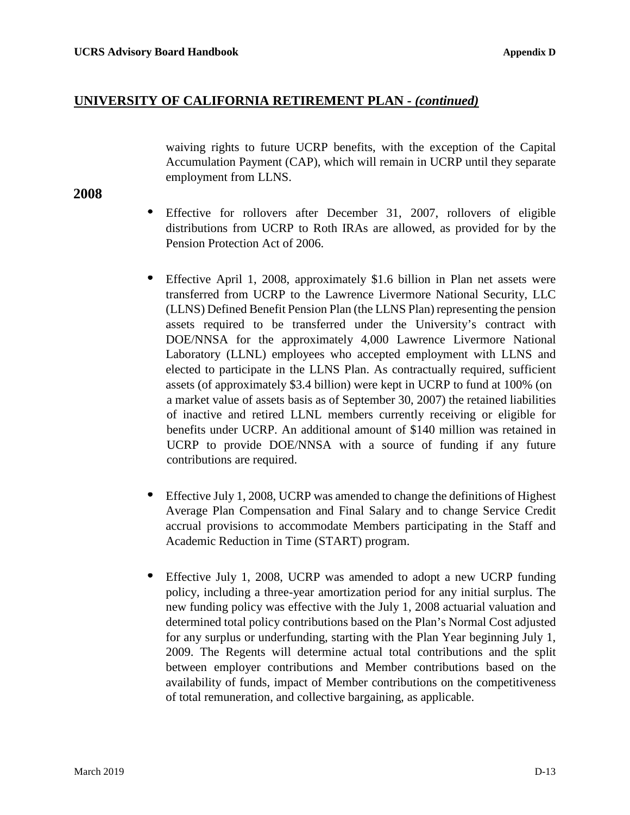waiving rights to future UCRP benefits, with the exception of the Capital Accumulation Payment (CAP), which will remain in UCRP until they separate employment from LLNS.

- Effective for rollovers after December 31, 2007, rollovers of eligible distributions from UCRP to Roth IRAs are allowed, as provided for by the Pension Protection Act of 2006.
- $\bullet$ Effective April 1, 2008, approximately \$1.6 billion in Plan net assets were transferred from UCRP to the Lawrence Livermore National Security, LLC (LLNS) Defined Benefit Pension Plan (the LLNS Plan) representing the pension assets required to be transferred under the University's contract with DOE/NNSA for the approximately 4,000 Lawrence Livermore National Laboratory (LLNL) employees who accepted employment with LLNS and elected to participate in the LLNS Plan. As contractually required, sufficient assets (of approximately \$3.4 billion) were kept in UCRP to fund at 100% (on a market value of assets basis as of September 30, 2007) the retained liabilities of inactive and retired LLNL members currently receiving or eligible for benefits under UCRP. An additional amount of \$140 million was retained in UCRP to provide DOE/NNSA with a source of funding if any future contributions are required.
- Effective July 1, 2008, UCRP was amended to change the definitions of Highest Average Plan Compensation and Final Salary and to change Service Credit accrual provisions to accommodate Members participating in the Staff and Academic Reduction in Time (START) program.
- $\bullet$ Effective July 1, 2008, UCRP was amended to adopt a new UCRP funding policy, including a three-year amortization period for any initial surplus. The new funding policy was effective with the July 1, 2008 actuarial valuation and determined total policy contributions based on the Plan's Normal Cost adjusted for any surplus or underfunding, starting with the Plan Year beginning July 1, 2009. The Regents will determine actual total contributions and the split between employer contributions and Member contributions based on the availability of funds, impact of Member contributions on the competitiveness of total remuneration, and collective bargaining, as applicable.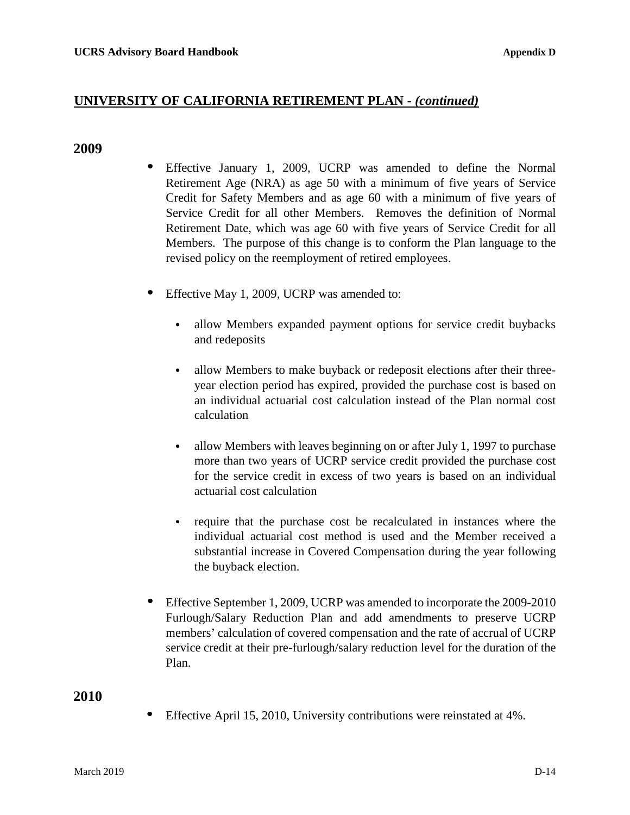### **2009**

- $\bullet$ Effective January 1, 2009, UCRP was amended to define the Normal Retirement Age (NRA) as age 50 with a minimum of five years of Service Credit for Safety Members and as age 60 with a minimum of five years of Service Credit for all other Members. Removes the definition of Normal Retirement Date, which was age 60 with five years of Service Credit for all Members. The purpose of this change is to conform the Plan language to the revised policy on the reemployment of retired employees.
- Effective May 1, 2009, UCRP was amended to:
	- allow Members expanded payment options for service credit buybacks and redeposits
	- allow Members to make buyback or redeposit elections after their threeyear election period has expired, provided the purchase cost is based on an individual actuarial cost calculation instead of the Plan normal cost calculation
	- allow Members with leaves beginning on or after July 1, 1997 to purchase more than two years of UCRP service credit provided the purchase cost for the service credit in excess of two years is based on an individual actuarial cost calculation
	- require that the purchase cost be recalculated in instances where the individual actuarial cost method is used and the Member received a substantial increase in Covered Compensation during the year following the buyback election.
- $\bullet$ Effective September 1, 2009, UCRP was amended to incorporate the 2009-2010 Furlough/Salary Reduction Plan and add amendments to preserve UCRP members' calculation of covered compensation and the rate of accrual of UCRP service credit at their pre-furlough/salary reduction level for the duration of the Plan.

### **2010**

 $\bullet$ Effective April 15, 2010, University contributions were reinstated at 4%.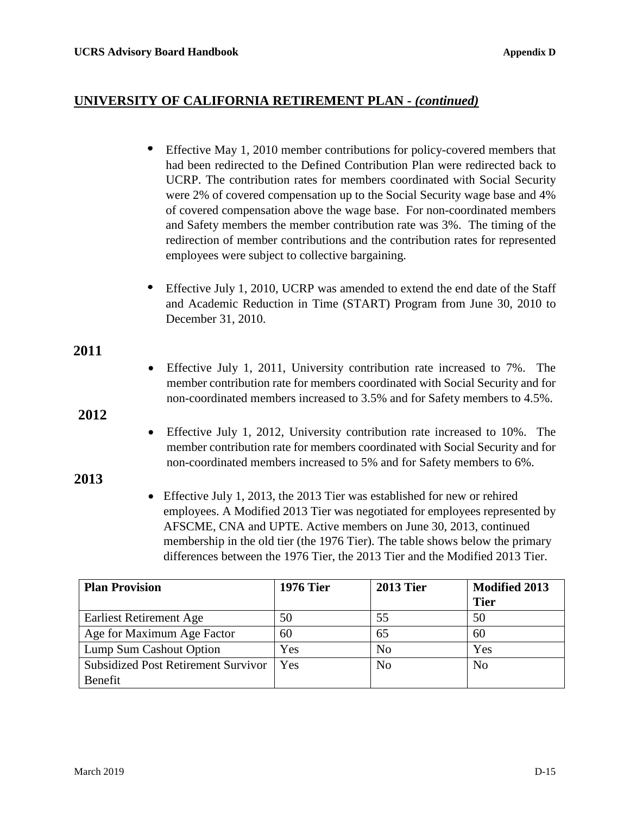- Effective May 1, 2010 member contributions for policy-covered members that had been redirected to the Defined Contribution Plan were redirected back to UCRP. The contribution rates for members coordinated with Social Security were 2% of covered compensation up to the Social Security wage base and 4% of covered compensation above the wage base. For non-coordinated members and Safety members the member contribution rate was 3%. The timing of the redirection of member contributions and the contribution rates for represented employees were subject to collective bargaining.
- Effective July 1, 2010, UCRP was amended to extend the end date of the Staff and Academic Reduction in Time (START) Program from June 30, 2010 to December 31, 2010.

## **2011**

• Effective July 1, 2011, University contribution rate increased to 7%. The member contribution rate for members coordinated with Social Security and for non-coordinated members increased to 3.5% and for Safety members to 4.5%.

### **2012**

• Effective July 1, 2012, University contribution rate increased to 10%. The member contribution rate for members coordinated with Social Security and for non-coordinated members increased to 5% and for Safety members to 6%.

### **2013**

• Effective July 1, 2013, the 2013 Tier was established for new or rehired employees. A Modified 2013 Tier was negotiated for employees represented by AFSCME, CNA and UPTE. Active members on June 30, 2013, continued membership in the old tier (the 1976 Tier). The table shows below the primary differences between the 1976 Tier, the 2013 Tier and the Modified 2013 Tier.

| <b>Plan Provision</b>                      | <b>1976 Tier</b> | <b>2013 Tier</b> | <b>Modified 2013</b><br><b>Tier</b> |
|--------------------------------------------|------------------|------------------|-------------------------------------|
| <b>Earliest Retirement Age</b>             | 50               | 55               | 50                                  |
| Age for Maximum Age Factor                 | 60               | 65               | 60                                  |
| Lump Sum Cashout Option                    | Yes              | N <sub>o</sub>   | Yes                                 |
| <b>Subsidized Post Retirement Survivor</b> | Yes              | N <sub>o</sub>   | N <sub>0</sub>                      |
| Benefit                                    |                  |                  |                                     |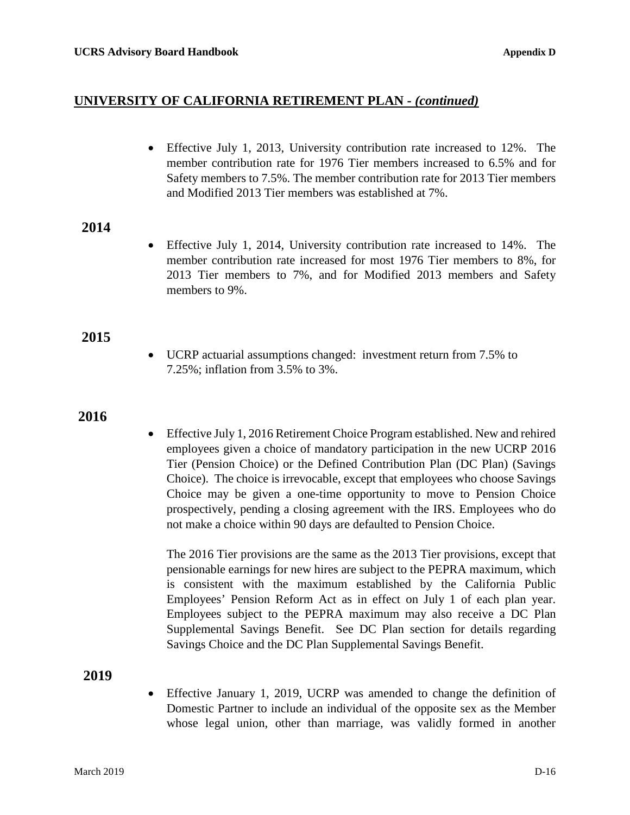• Effective July 1, 2013, University contribution rate increased to 12%. The member contribution rate for 1976 Tier members increased to 6.5% and for Safety members to 7.5%. The member contribution rate for 2013 Tier members and Modified 2013 Tier members was established at 7%.

## **2014**

• Effective July 1, 2014, University contribution rate increased to 14%. The member contribution rate increased for most 1976 Tier members to 8%, for 2013 Tier members to 7%, and for Modified 2013 members and Safety members to 9%.

### **2015**

• UCRP actuarial assumptions changed: investment return from 7.5% to 7.25%; inflation from 3.5% to 3%.

### **2016**

• Effective July 1, 2016 Retirement Choice Program established. New and rehired employees given a choice of mandatory participation in the new UCRP 2016 Tier (Pension Choice) or the Defined Contribution Plan (DC Plan) (Savings Choice). The choice is irrevocable, except that employees who choose Savings Choice may be given a one-time opportunity to move to Pension Choice prospectively, pending a closing agreement with the IRS. Employees who do not make a choice within 90 days are defaulted to Pension Choice.

The 2016 Tier provisions are the same as the 2013 Tier provisions, except that pensionable earnings for new hires are subject to the PEPRA maximum, which is consistent with the maximum established by the California Public Employees' Pension Reform Act as in effect on July 1 of each plan year. Employees subject to the PEPRA maximum may also receive a DC Plan Supplemental Savings Benefit. See DC Plan section for details regarding Savings Choice and the DC Plan Supplemental Savings Benefit.

**2019**

• Effective January 1, 2019, UCRP was amended to change the definition of Domestic Partner to include an individual of the opposite sex as the Member whose legal union, other than marriage, was validly formed in another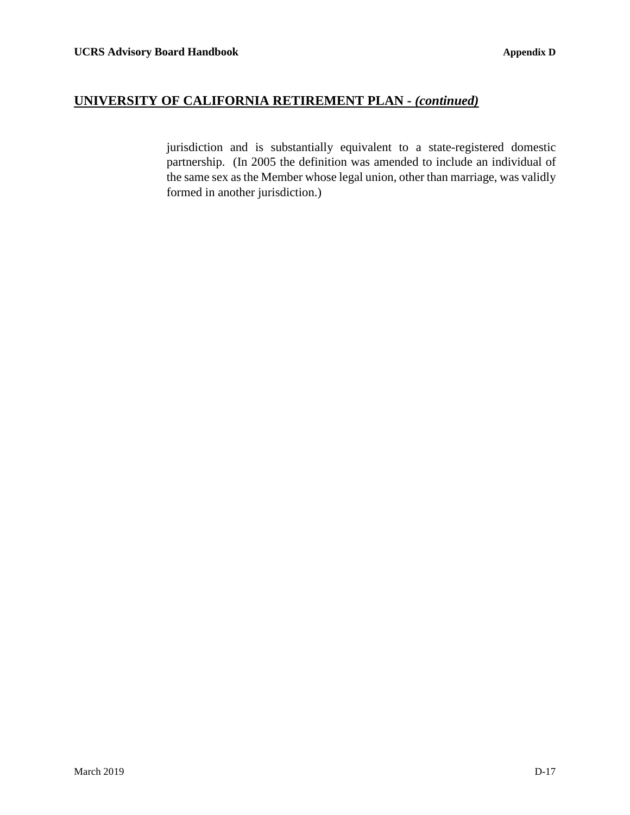jurisdiction and is substantially equivalent to a state-registered domestic partnership. (In 2005 the definition was amended to include an individual of the same sex as the Member whose legal union, other than marriage, was validly formed in another jurisdiction.)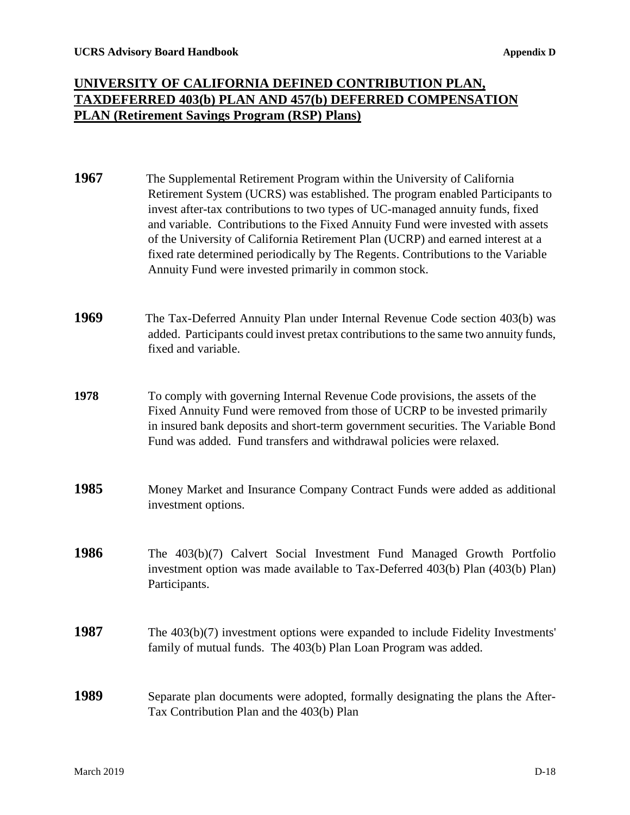| 1967 | The Supplemental Retirement Program within the University of California<br>Retirement System (UCRS) was established. The program enabled Participants to<br>invest after-tax contributions to two types of UC-managed annuity funds, fixed<br>and variable. Contributions to the Fixed Annuity Fund were invested with assets<br>of the University of California Retirement Plan (UCRP) and earned interest at a<br>fixed rate determined periodically by The Regents. Contributions to the Variable<br>Annuity Fund were invested primarily in common stock. |
|------|---------------------------------------------------------------------------------------------------------------------------------------------------------------------------------------------------------------------------------------------------------------------------------------------------------------------------------------------------------------------------------------------------------------------------------------------------------------------------------------------------------------------------------------------------------------|
| 1969 | The Tax-Deferred Annuity Plan under Internal Revenue Code section 403(b) was<br>added. Participants could invest pretax contributions to the same two annuity funds,<br>fixed and variable.                                                                                                                                                                                                                                                                                                                                                                   |
| 1978 | To comply with governing Internal Revenue Code provisions, the assets of the<br>Fixed Annuity Fund were removed from those of UCRP to be invested primarily<br>in insured bank deposits and short-term government securities. The Variable Bond<br>Fund was added. Fund transfers and withdrawal policies were relaxed.                                                                                                                                                                                                                                       |
| 1985 | Money Market and Insurance Company Contract Funds were added as additional<br>investment options.                                                                                                                                                                                                                                                                                                                                                                                                                                                             |
| 1986 | The 403(b)(7) Calvert Social Investment Fund Managed Growth Portfolio<br>investment option was made available to Tax-Deferred 403(b) Plan (403(b) Plan)<br>Participants.                                                                                                                                                                                                                                                                                                                                                                                      |
| 1987 | The $403(b)(7)$ investment options were expanded to include Fidelity Investments'<br>family of mutual funds. The 403(b) Plan Loan Program was added.                                                                                                                                                                                                                                                                                                                                                                                                          |
| 1989 | Separate plan documents were adopted, formally designating the plans the After-<br>Tax Contribution Plan and the 403(b) Plan                                                                                                                                                                                                                                                                                                                                                                                                                                  |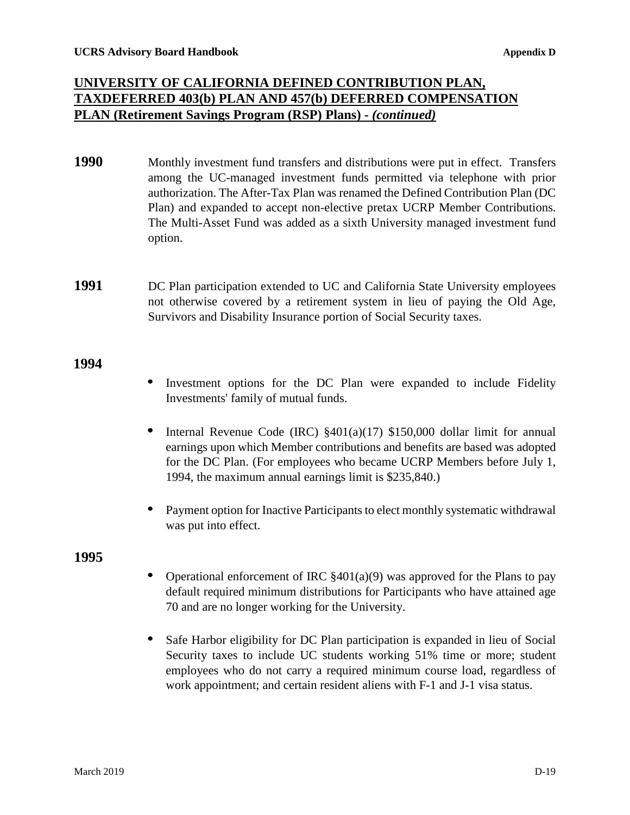- **1990** Monthly investment fund transfers and distributions were put in effect. Transfers among the UC-managed investment funds permitted via telephone with prior authorization. The After-Tax Plan was renamed the Defined Contribution Plan (DC Plan) and expanded to accept non-elective pretax UCRP Member Contributions. The Multi-Asset Fund was added as a sixth University managed investment fund option.
- **1991** DC Plan participation extended to UC and California State University employees not otherwise covered by a retirement system in lieu of paying the Old Age, Survivors and Disability Insurance portion of Social Security taxes.

### **1994**

- Investment options for the DC Plan were expanded to include Fidelity Investments' family of mutual funds.
- $\bullet$ Internal Revenue Code (IRC) §401(a)(17) \$150,000 dollar limit for annual earnings upon which Member contributions and benefits are based was adopted for the DC Plan. (For employees who became UCRP Members before July 1, 1994, the maximum annual earnings limit is \$235,840.)
- Payment option for Inactive Participants to elect monthly systematic withdrawal was put into effect.

- $\bullet$ Operational enforcement of IRC  $\S 401(a)(9)$  was approved for the Plans to pay default required minimum distributions for Participants who have attained age 70 and are no longer working for the University.
- Safe Harbor eligibility for DC Plan participation is expanded in lieu of Social Security taxes to include UC students working 51% time or more; student employees who do not carry a required minimum course load, regardless of work appointment; and certain resident aliens with F-1 and J-1 visa status.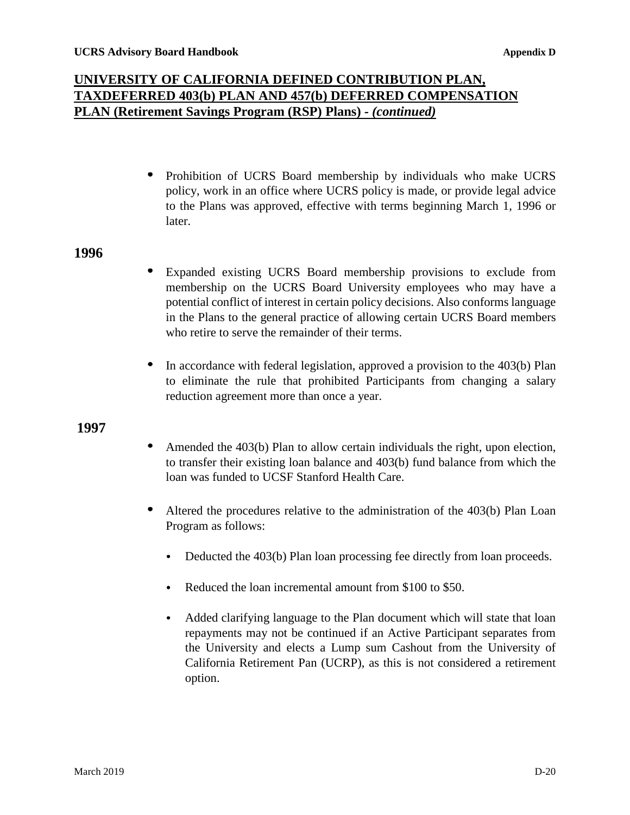Prohibition of UCRS Board membership by individuals who make UCRS policy, work in an office where UCRS policy is made, or provide legal advice to the Plans was approved, effective with terms beginning March 1, 1996 or later.

### **1996**

- $\bullet$ Expanded existing UCRS Board membership provisions to exclude from membership on the UCRS Board University employees who may have a potential conflict of interest in certain policy decisions. Also conforms language in the Plans to the general practice of allowing certain UCRS Board members who retire to serve the remainder of their terms.
- $\bullet$ In accordance with federal legislation, approved a provision to the 403(b) Plan to eliminate the rule that prohibited Participants from changing a salary reduction agreement more than once a year.

- Amended the 403(b) Plan to allow certain individuals the right, upon election, to transfer their existing loan balance and 403(b) fund balance from which the loan was funded to UCSF Stanford Health Care.
- Altered the procedures relative to the administration of the 403(b) Plan Loan Program as follows:
	- $\bullet$ Deducted the 403(b) Plan loan processing fee directly from loan proceeds.
	- $\bullet$ Reduced the loan incremental amount from \$100 to \$50.
	- Added clarifying language to the Plan document which will state that loan  $\bullet$ repayments may not be continued if an Active Participant separates from the University and elects a Lump sum Cashout from the University of California Retirement Pan (UCRP), as this is not considered a retirement option.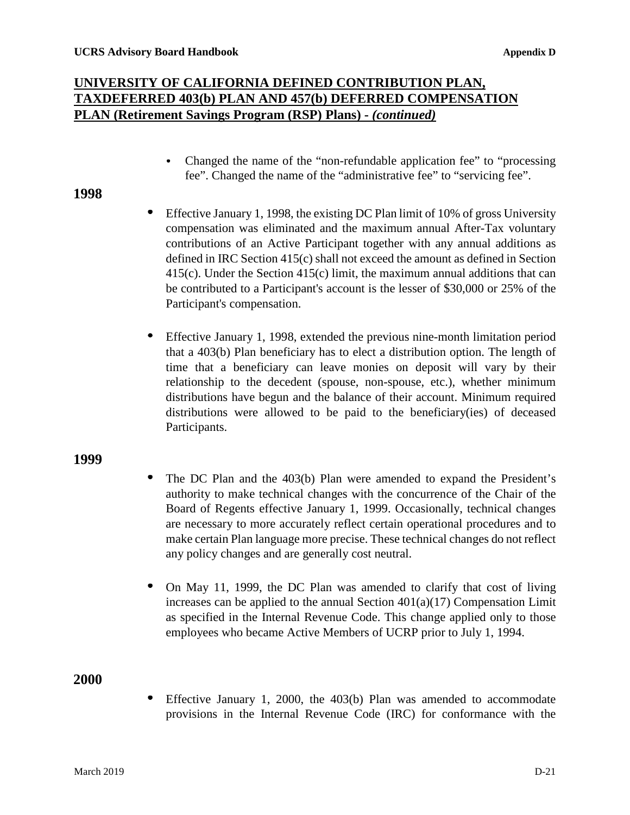Changed the name of the "non-refundable application fee" to "processing fee". Changed the name of the "administrative fee" to "servicing fee".

### **1998**

- Effective January 1, 1998, the existing DC Plan limit of 10% of gross University compensation was eliminated and the maximum annual After-Tax voluntary contributions of an Active Participant together with any annual additions as defined in IRC Section 415(c) shall not exceed the amount as defined in Section 415(c). Under the Section 415(c) limit, the maximum annual additions that can be contributed to a Participant's account is the lesser of \$30,000 or 25% of the Participant's compensation.
- $\bullet$ Effective January 1, 1998, extended the previous nine-month limitation period that a 403(b) Plan beneficiary has to elect a distribution option. The length of time that a beneficiary can leave monies on deposit will vary by their relationship to the decedent (spouse, non-spouse, etc.), whether minimum distributions have begun and the balance of their account. Minimum required distributions were allowed to be paid to the beneficiary(ies) of deceased Participants.

### **1999**

- The DC Plan and the 403(b) Plan were amended to expand the President's  $\bullet$ authority to make technical changes with the concurrence of the Chair of the Board of Regents effective January 1, 1999. Occasionally, technical changes are necessary to more accurately reflect certain operational procedures and to make certain Plan language more precise. These technical changes do not reflect any policy changes and are generally cost neutral.
- On May 11, 1999, the DC Plan was amended to clarify that cost of living increases can be applied to the annual Section  $401(a)(17)$  Compensation Limit as specified in the Internal Revenue Code. This change applied only to those employees who became Active Members of UCRP prior to July 1, 1994.

### **2000**

Effective January 1, 2000, the 403(b) Plan was amended to accommodate provisions in the Internal Revenue Code (IRC) for conformance with the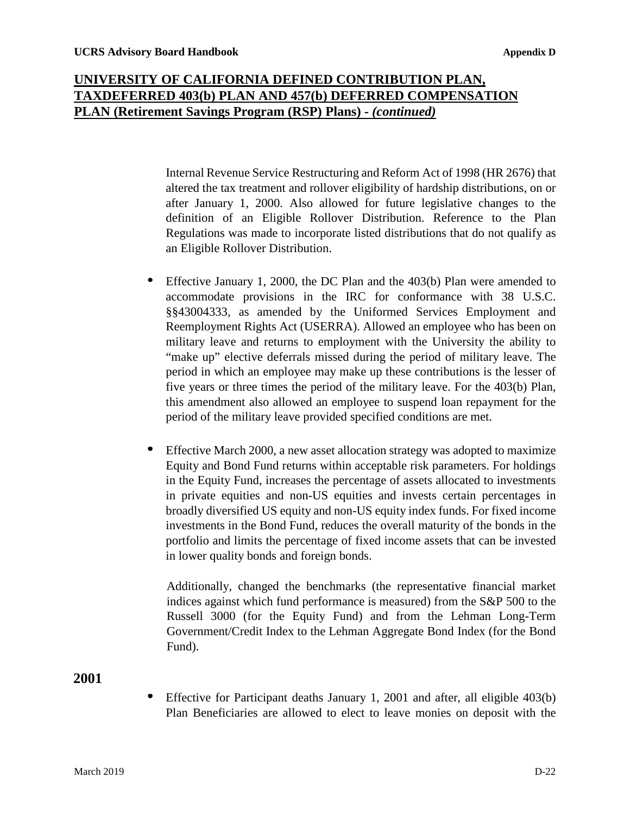Internal Revenue Service Restructuring and Reform Act of 1998 (HR 2676) that altered the tax treatment and rollover eligibility of hardship distributions, on or after January 1, 2000. Also allowed for future legislative changes to the definition of an Eligible Rollover Distribution. Reference to the Plan Regulations was made to incorporate listed distributions that do not qualify as an Eligible Rollover Distribution.

- Effective January 1, 2000, the DC Plan and the 403(b) Plan were amended to accommodate provisions in the IRC for conformance with 38 U.S.C. §§43004333, as amended by the Uniformed Services Employment and Reemployment Rights Act (USERRA). Allowed an employee who has been on military leave and returns to employment with the University the ability to "make up" elective deferrals missed during the period of military leave. The period in which an employee may make up these contributions is the lesser of five years or three times the period of the military leave. For the 403(b) Plan, this amendment also allowed an employee to suspend loan repayment for the period of the military leave provided specified conditions are met.
- Effective March 2000, a new asset allocation strategy was adopted to maximize Equity and Bond Fund returns within acceptable risk parameters. For holdings in the Equity Fund, increases the percentage of assets allocated to investments in private equities and non-US equities and invests certain percentages in broadly diversified US equity and non-US equity index funds. For fixed income investments in the Bond Fund, reduces the overall maturity of the bonds in the portfolio and limits the percentage of fixed income assets that can be invested in lower quality bonds and foreign bonds.

Additionally, changed the benchmarks (the representative financial market indices against which fund performance is measured) from the S&P 500 to the Russell 3000 (for the Equity Fund) and from the Lehman Long-Term Government/Credit Index to the Lehman Aggregate Bond Index (for the Bond Fund).

#### **2001**

 $\bullet$ Effective for Participant deaths January 1, 2001 and after, all eligible 403(b) Plan Beneficiaries are allowed to elect to leave monies on deposit with the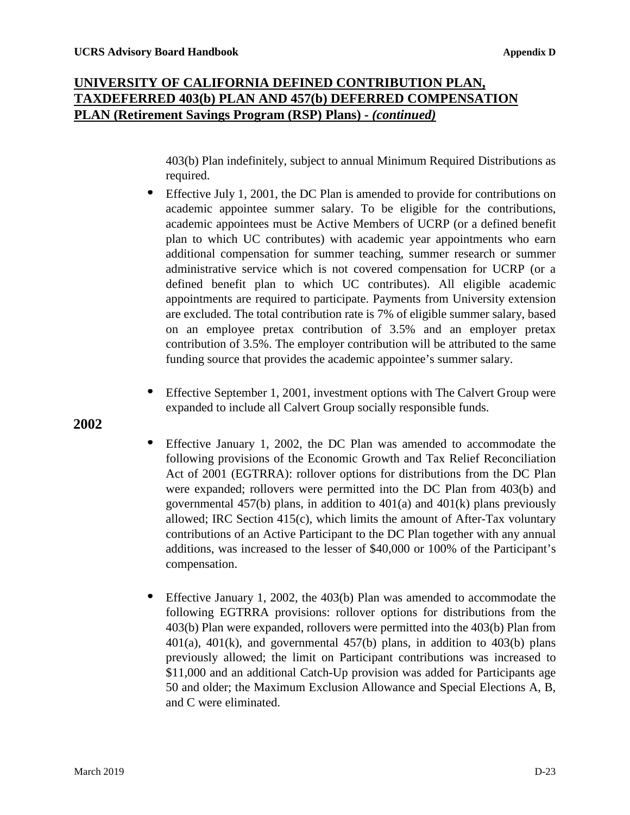403(b) Plan indefinitely, subject to annual Minimum Required Distributions as required.

- $\bullet$ Effective July 1, 2001, the DC Plan is amended to provide for contributions on academic appointee summer salary. To be eligible for the contributions, academic appointees must be Active Members of UCRP (or a defined benefit plan to which UC contributes) with academic year appointments who earn additional compensation for summer teaching, summer research or summer administrative service which is not covered compensation for UCRP (or a defined benefit plan to which UC contributes). All eligible academic appointments are required to participate. Payments from University extension are excluded. The total contribution rate is 7% of eligible summer salary, based on an employee pretax contribution of 3.5% and an employer pretax contribution of 3.5%. The employer contribution will be attributed to the same funding source that provides the academic appointee's summer salary.
- Effective September 1, 2001, investment options with The Calvert Group were expanded to include all Calvert Group socially responsible funds.
- $\bullet$ Effective January 1, 2002, the DC Plan was amended to accommodate the following provisions of the Economic Growth and Tax Relief Reconciliation Act of 2001 (EGTRRA): rollover options for distributions from the DC Plan were expanded; rollovers were permitted into the DC Plan from 403(b) and governmental  $457(b)$  plans, in addition to  $401(a)$  and  $401(k)$  plans previously allowed; IRC Section 415(c), which limits the amount of After-Tax voluntary contributions of an Active Participant to the DC Plan together with any annual additions, was increased to the lesser of \$40,000 or 100% of the Participant's compensation.
- $\bullet$ Effective January 1, 2002, the 403(b) Plan was amended to accommodate the following EGTRRA provisions: rollover options for distributions from the 403(b) Plan were expanded, rollovers were permitted into the 403(b) Plan from  $401(a)$ ,  $401(k)$ , and governmental  $457(b)$  plans, in addition to  $403(b)$  plans previously allowed; the limit on Participant contributions was increased to \$11,000 and an additional Catch-Up provision was added for Participants age 50 and older; the Maximum Exclusion Allowance and Special Elections A, B, and C were eliminated.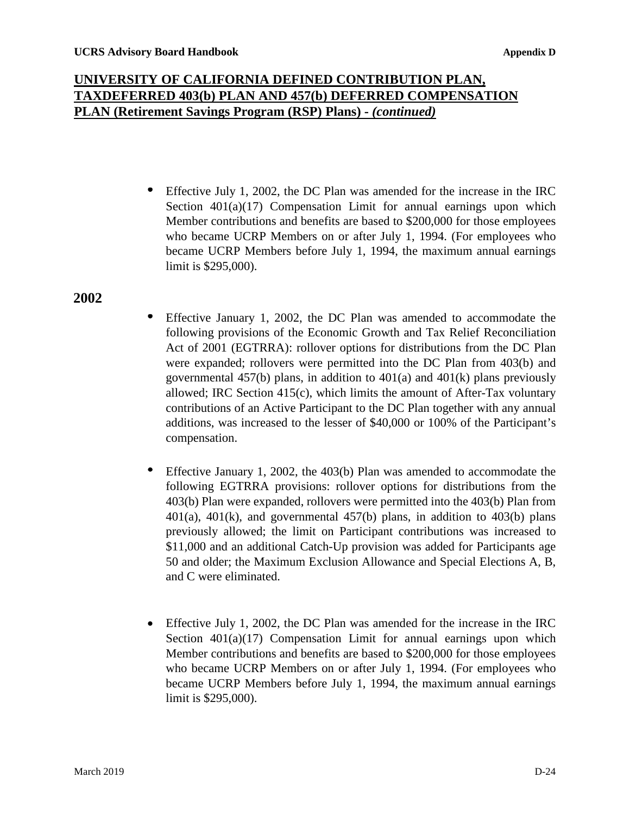Effective July 1, 2002, the DC Plan was amended for the increase in the IRC Section  $401(a)(17)$  Compensation Limit for annual earnings upon which Member contributions and benefits are based to \$200,000 for those employees who became UCRP Members on or after July 1, 1994. (For employees who became UCRP Members before July 1, 1994, the maximum annual earnings limit is \$295,000).

- $\bullet$ Effective January 1, 2002, the DC Plan was amended to accommodate the following provisions of the Economic Growth and Tax Relief Reconciliation Act of 2001 (EGTRRA): rollover options for distributions from the DC Plan were expanded; rollovers were permitted into the DC Plan from 403(b) and governmental  $457(b)$  plans, in addition to  $401(a)$  and  $401(k)$  plans previously allowed; IRC Section  $415(c)$ , which limits the amount of After-Tax voluntary contributions of an Active Participant to the DC Plan together with any annual additions, was increased to the lesser of \$40,000 or 100% of the Participant's compensation.
- Effective January 1, 2002, the 403(b) Plan was amended to accommodate the following EGTRRA provisions: rollover options for distributions from the 403(b) Plan were expanded, rollovers were permitted into the 403(b) Plan from  $401(a)$ ,  $401(k)$ , and governmental  $457(b)$  plans, in addition to  $403(b)$  plans previously allowed; the limit on Participant contributions was increased to \$11,000 and an additional Catch-Up provision was added for Participants age 50 and older; the Maximum Exclusion Allowance and Special Elections A, B, and C were eliminated.
- Effective July 1, 2002, the DC Plan was amended for the increase in the IRC Section  $401(a)(17)$  Compensation Limit for annual earnings upon which Member contributions and benefits are based to \$200,000 for those employees who became UCRP Members on or after July 1, 1994. (For employees who became UCRP Members before July 1, 1994, the maximum annual earnings limit is \$295,000).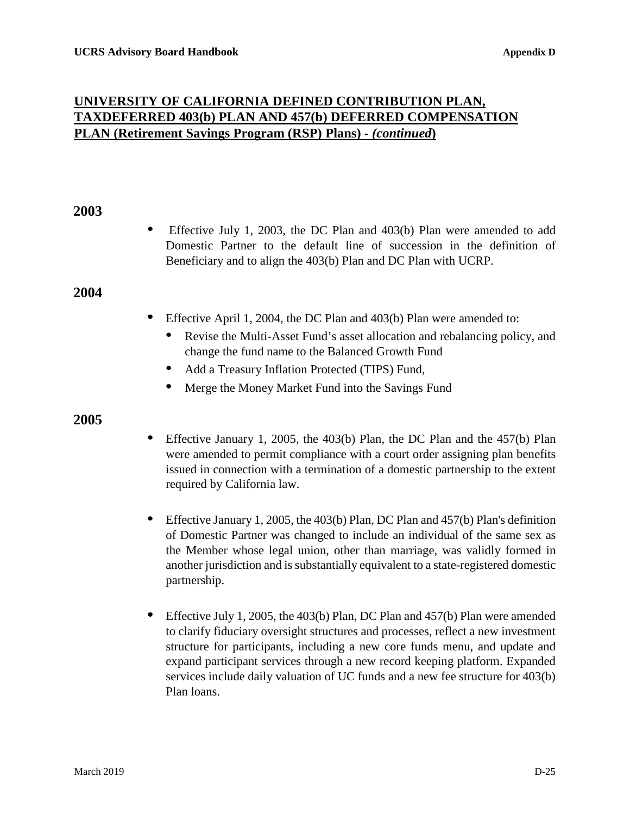### **2003**

Effective July 1, 2003, the DC Plan and 403(b) Plan were amended to add Domestic Partner to the default line of succession in the definition of Beneficiary and to align the 403(b) Plan and DC Plan with UCRP.

### **2004**

- Effective April 1, 2004, the DC Plan and 403(b) Plan were amended to:
	- $\bullet$ Revise the Multi-Asset Fund's asset allocation and rebalancing policy, and change the fund name to the Balanced Growth Fund
	- Add a Treasury Inflation Protected (TIPS) Fund,
	- Merge the Money Market Fund into the Savings Fund

- Effective January 1, 2005, the 403(b) Plan, the DC Plan and the 457(b) Plan were amended to permit compliance with a court order assigning plan benefits issued in connection with a termination of a domestic partnership to the extent required by California law.
- $\bullet$ Effective January 1, 2005, the 403(b) Plan, DC Plan and 457(b) Plan's definition of Domestic Partner was changed to include an individual of the same sex as the Member whose legal union, other than marriage, was validly formed in another jurisdiction and is substantially equivalent to a state-registered domestic partnership.
- Effective July 1, 2005, the 403(b) Plan, DC Plan and 457(b) Plan were amended to clarify fiduciary oversight structures and processes, reflect a new investment structure for participants, including a new core funds menu, and update and expand participant services through a new record keeping platform. Expanded services include daily valuation of UC funds and a new fee structure for 403(b) Plan loans.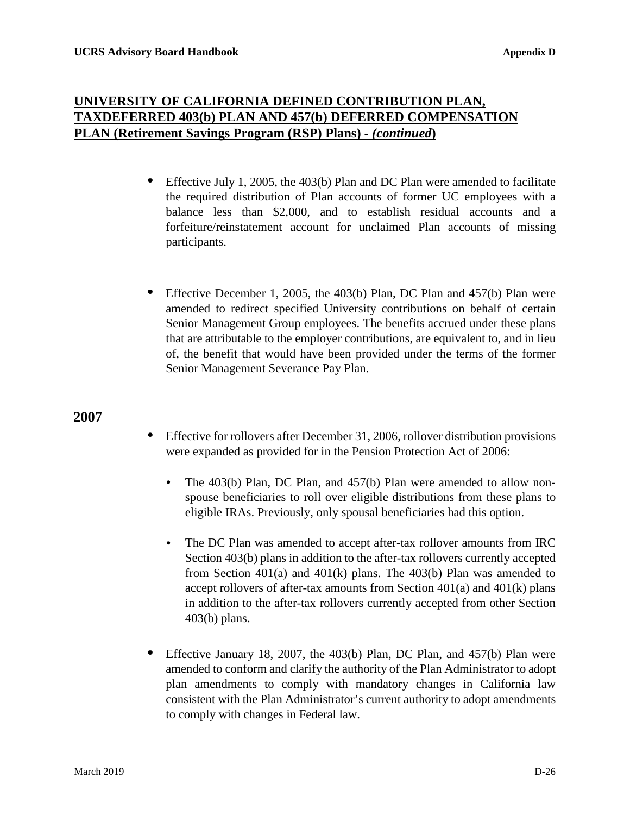- $\bullet$ Effective July 1, 2005, the 403(b) Plan and DC Plan were amended to facilitate the required distribution of Plan accounts of former UC employees with a balance less than \$2,000, and to establish residual accounts and a forfeiture/reinstatement account for unclaimed Plan accounts of missing participants.
- $\bullet$ Effective December 1, 2005, the 403(b) Plan, DC Plan and 457(b) Plan were amended to redirect specified University contributions on behalf of certain Senior Management Group employees. The benefits accrued under these plans that are attributable to the employer contributions, are equivalent to, and in lieu of, the benefit that would have been provided under the terms of the former Senior Management Severance Pay Plan.

- Effective for rollovers after December 31, 2006, rollover distribution provisions were expanded as provided for in the Pension Protection Act of 2006:
	- The 403(b) Plan, DC Plan, and 457(b) Plan were amended to allow non- $\bullet$ spouse beneficiaries to roll over eligible distributions from these plans to eligible IRAs. Previously, only spousal beneficiaries had this option.
	- $\bullet$ The DC Plan was amended to accept after-tax rollover amounts from IRC Section 403(b) plans in addition to the after-tax rollovers currently accepted from Section 401(a) and 401(k) plans. The 403(b) Plan was amended to accept rollovers of after-tax amounts from Section 401(a) and 401(k) plans in addition to the after-tax rollovers currently accepted from other Section 403(b) plans.
- Effective January 18, 2007, the 403(b) Plan, DC Plan, and 457(b) Plan were amended to conform and clarify the authority of the Plan Administrator to adopt plan amendments to comply with mandatory changes in California law consistent with the Plan Administrator's current authority to adopt amendments to comply with changes in Federal law.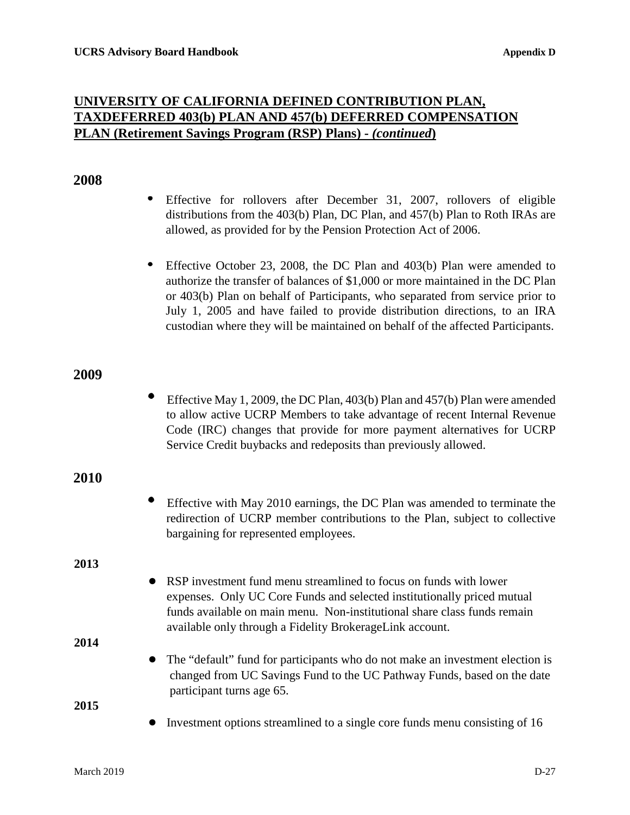### **2008**

- Effective for rollovers after December 31, 2007, rollovers of eligible distributions from the 403(b) Plan, DC Plan, and 457(b) Plan to Roth IRAs are allowed, as provided for by the Pension Protection Act of 2006.
- $\bullet$ Effective October 23, 2008, the DC Plan and 403(b) Plan were amended to authorize the transfer of balances of \$1,000 or more maintained in the DC Plan or 403(b) Plan on behalf of Participants, who separated from service prior to July 1, 2005 and have failed to provide distribution directions, to an IRA custodian where they will be maintained on behalf of the affected Participants.

## **2009**

Effective May 1, 2009, the DC Plan, 403(b) Plan and 457(b) Plan were amended to allow active UCRP Members to take advantage of recent Internal Revenue Code (IRC) changes that provide for more payment alternatives for UCRP Service Credit buybacks and redeposits than previously allowed.

### **2010**

Effective with May 2010 earnings, the DC Plan was amended to terminate the redirection of UCRP member contributions to the Plan, subject to collective bargaining for represented employees.

#### **2013**

**●** RSP investment fund menu streamlined to focus on funds with lower expenses. Only UC Core Funds and selected institutionally priced mutual funds available on main menu. Non-institutional share class funds remain available only through a Fidelity BrokerageLink account.

### **2014**

The "default" fund for participants who do not make an investment election is changed from UC Savings Fund to the UC Pathway Funds, based on the date participant turns age 65.

#### **2015**

**●** Investment options streamlined to a single core funds menu consisting of 16